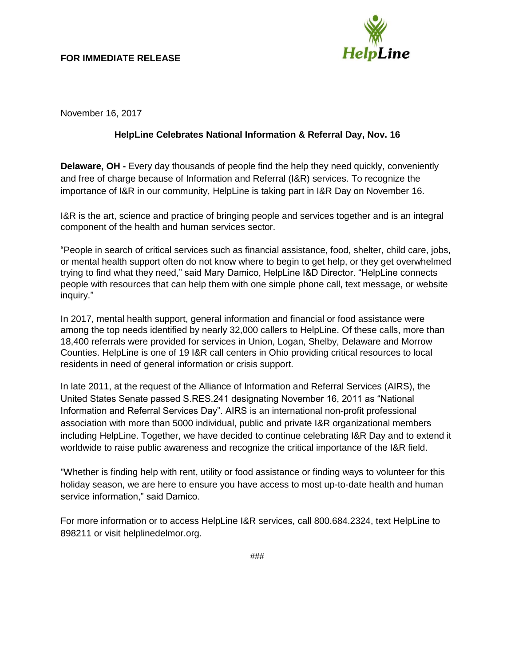### **FOR IMMEDIATE RELEASE**



November 16, 2017

# **HelpLine Celebrates National Information & Referral Day, Nov. 16**

**Delaware, OH -** Every day thousands of people find the help they need quickly, conveniently and free of charge because of Information and Referral (I&R) services. To recognize the importance of I&R in our community, HelpLine is taking part in I&R Day on November 16.

I&R is the art, science and practice of bringing people and services together and is an integral component of the health and human services sector.

"People in search of critical services such as financial assistance, food, shelter, child care, jobs, or mental health support often do not know where to begin to get help, or they get overwhelmed trying to find what they need," said Mary Damico, HelpLine I&D Director. "HelpLine connects people with resources that can help them with one simple phone call, text message, or website inquiry."

In 2017, mental health support, general information and financial or food assistance were among the top needs identified by nearly 32,000 callers to HelpLine. Of these calls, more than 18,400 referrals were provided for services in Union, Logan, Shelby, Delaware and Morrow Counties. HelpLine is one of 19 I&R call centers in Ohio providing critical resources to local residents in need of general information or crisis support.

In late 2011, at the request of the Alliance of Information and Referral Services (AIRS), the United States Senate passed S.RES.241 designating November 16, 2011 as "National Information and Referral Services Day". AIRS is an international non-profit professional association with more than 5000 individual, public and private I&R organizational members including HelpLine. Together, we have decided to continue celebrating I&R Day and to extend it worldwide to raise public awareness and recognize the critical importance of the I&R field.

"Whether is finding help with rent, utility or food assistance or finding ways to volunteer for this holiday season, we are here to ensure you have access to most up-to-date health and human service information," said Damico.

For more information or to access HelpLine I&R services, call 800.684.2324, text HelpLine to 898211 or visit helplinedelmor.org.